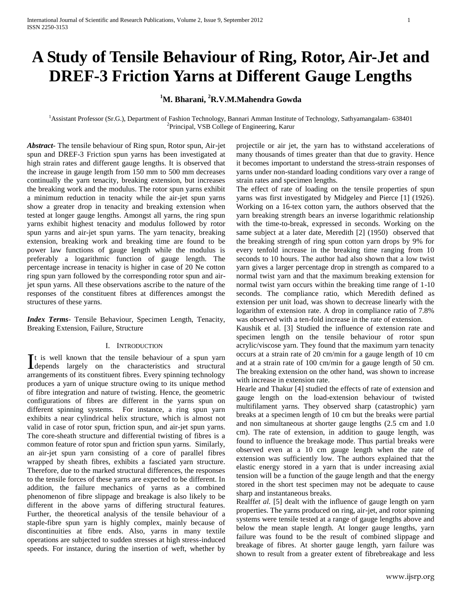# **A Study of Tensile Behaviour of Ring, Rotor, Air-Jet and DREF-3 Friction Yarns at Different Gauge Lengths**

## **<sup>1</sup>M. Bharani, <sup>2</sup>R.V.M.Mahendra Gowda**

<sup>1</sup>Assistant Professor (Sr.G.), Department of Fashion Technology, Bannari Amman Institute of Technology, Sathyamangalam- 638401 2 Principal, VSB College of Engineering, Karur

*Abstract***-** The tensile behaviour of Ring spun, Rotor spun, Air-jet spun and DREF-3 Friction spun yarns has been investigated at high strain rates and different gauge lengths. It is observed that the increase in gauge length from 150 mm to 500 mm decreases continually the yarn tenacity, breaking extension, but increases the breaking work and the modulus. The rotor spun yarns exhibit a minimum reduction in tenacity while the air-jet spun yarns show a greater drop in tenacity and breaking extension when tested at longer gauge lengths. Amongst all yarns, the ring spun yarns exhibit highest tenacity and modulus followed by rotor spun yarns and air-jet spun yarns. The yarn tenacity, breaking extension, breaking work and breaking time are found to be power law functions of gauge length while the modulus is preferably a logarithmic function of gauge length. The percentage increase in tenacity is higher in case of 20 Ne cotton ring spun yarn followed by the corresponding rotor spun and airjet spun yarns. All these observations ascribe to the nature of the responses of the constituent fibres at differences amongst the structures of these yarns.

*Index Terms*- Tensile Behaviour, Specimen Length, Tenacity, Breaking Extension, Failure, Structure

## I. INTRODUCTION

t is well known that the tensile behaviour of a spun yarn It is well known that the tensile behaviour of a spun yarn<br>depends largely on the characteristics and structural arrangements of its constituent fibres. Every spinning technology produces a yarn of unique structure owing to its unique method of fibre integration and nature of twisting. Hence, the geometric configurations of fibres are different in the yarns spun on different spinning systems. For instance, a ring spun yarn exhibits a near cylindrical helix structure, which is almost not valid in case of rotor spun, friction spun, and air-jet spun yarns. The core-sheath structure and differential twisting of fibres is a common feature of rotor spun and friction spun yarns. Similarly, an air-jet spun yarn consisting of a core of parallel fibres wrapped by sheath fibres, exhibits a fasciated yarn structure. Therefore, due to the marked structural differences, the responses to the tensile forces of these yarns are expected to be different. In addition, the failure mechanics of yarns as a combined phenomenon of fibre slippage and breakage is also likely to be different in the above yarns of differing structural features. Further, the theoretical analysis of the tensile behaviour of a staple-fibre spun yarn is highly complex, mainly because of discontinuities at fibre ends. Also, yarns in many textile operations are subjected to sudden stresses at high stress-induced speeds. For instance, during the insertion of weft, whether by

projectile or air jet, the yarn has to withstand accelerations of many thousands of times greater than that due to gravity. Hence it becomes important to understand the stress-strain responses of yarns under non-standard loading conditions vary over a range of strain rates and specimen lengths.

The effect of rate of loading on the tensile properties of spun yarns was first investigated by Midgeley and Pierce [1] (1926). Working on a 16-tex cotton yarn, the authors observed that the yarn breaking strength bears an inverse logarithmic relationship with the time-to-break, expressed in seconds. Working on the same subject at a later date, Meredith [2] (1950) observed that the breaking strength of ring spun cotton yarn drops by 9% for every tenfold increase in the breaking time ranging from 10 seconds to 10 hours. The author had also shown that a low twist yarn gives a larger percentage drop in strength as compared to a normal twist yarn and that the maximum breaking extension for normal twist yarn occurs within the breaking time range of 1-10 seconds. The compliance ratio, which Meredith defined as extension per unit load, was shown to decrease linearly with the logarithm of extension rate. A drop in compliance ratio of 7.8% was observed with a ten-fold increase in the rate of extension.

Kaushik et al. [3] Studied the influence of extension rate and specimen length on the tensile behaviour of rotor spun acrylic/viscose yarn. They found that the maximum yarn tenacity occurs at a strain rate of 20 cm/min for a gauge length of 10 cm and at a strain rate of 100 cm/min for a gauge length of 50 cm. The breaking extension on the other hand, was shown to increase with increase in extension rate.

Hearle and Thakur [4] studied the effects of rate of extension and gauge length on the load-extension behaviour of twisted multifilament yarns. They observed sharp (catastrophic) yarn breaks at a specimen length of 10 cm but the breaks were partial and non simultaneous at shorter gauge lengths (2.5 cm and 1.0 cm). The rate of extension, in addition to gauge length, was found to influence the breakage mode. Thus partial breaks were observed even at a 10 cm gauge length when the rate of extension was sufficiently low. The authors explained that the elastic energy stored in a yarn that is under increasing axial tension will be a function of the gauge length and that the energy stored in the short test specimen may not be adequate to cause sharp and instantaneous breaks.

Realff*et al.* [5] dealt with the influence of gauge length on yarn properties. The yarns produced on ring, air-jet, and rotor spinning systems were tensile tested at a range of gauge lengths above and below the mean staple length. At longer gauge lengths, yarn failure was found to be the result of combined slippage and breakage of fibres. At shorter gauge length, yarn failure was shown to result from a greater extent of fibrebreakage and less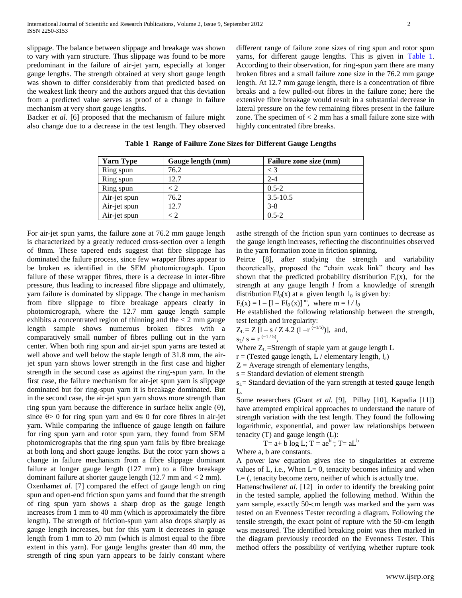slippage. The balance between slippage and breakage was shown to vary with yarn structure. Thus slippage was found to be more predominant in the failure of air-jet yarn, especially at longer gauge lengths. The strength obtained at very short gauge length was shown to differ considerably from that predicted based on the weakest link theory and the authors argued that this deviation from a predicted value serves as proof of a change in failure mechanism at very short gauge lengths.

Backer *et al.* [6] proposed that the mechanism of failure might also change due to a decrease in the test length. They observed

different range of failure zone sizes of ring spun and rotor spun yarns, for different gauge lengths. This is given in [Table 1.](file:///L:\Papers\The%20Journal%20of%20Industrial%20Textiles\Tables.doc) According to their observation, for ring-spun yarn there are many broken fibres and a small failure zone size in the 76.2 mm gauge length. At 12.7 mm gauge length, there is a concentration of fibre breaks and a few pulled-out fibres in the failure zone; here the extensive fibre breakage would result in a substantial decrease in lateral pressure on the few remaining fibres present in the failure zone. The specimen of  $< 2$  mm has a small failure zone size with highly concentrated fibre breaks.

| <b>Yarn Type</b> | Gauge length (mm) | Failure zone size (mm) |
|------------------|-------------------|------------------------|
| Ring spun        | 76.2              | $\langle$ 3            |
| Ring spun        | 12.7              | $2 - 4$                |
| Ring spun        | ر >               | $0.5 - 2$              |
| Air-jet spun     | 76.2              | $3.5 - 10.5$           |
| Air-jet spun     | 12.7              | $3-8$                  |
| Air-jet spun     |                   | $0.5 - 2$              |

**Table 1 Range of Failure Zone Sizes for Different Gauge Lengths**

For air-jet spun yarns, the failure zone at 76.2 mm gauge length is characterized by a greatly reduced cross-section over a length of 8mm. These tapered ends suggest that fibre slippage has dominated the failure process, since few wrapper fibres appear to be broken as identified in the SEM photomicrograph. Upon failure of these wrapper fibres, there is a decrease in inter-fibre pressure, thus leading to increased fibre slippage and ultimately, yarn failure is dominated by slippage. The change in mechanism from fibre slippage to fibre breakage appears clearly in photomicrograph, where the 12.7 mm gauge length sample exhibits a concentrated region of thinning and the  $<$  2 mm gauge length sample shows numerous broken fibres with a comparatively small number of fibres pulling out in the yarn center. When both ring spun and air-jet spun yarns are tested at well above and well below the staple length of 31.8 mm, the airjet spun yarn shows lower strength in the first case and higher strength in the second case as against the ring-spun yarn. In the first case, the failure mechanism for air-jet spun yarn is slippage dominated but for ring-spun yarn it is breakage dominated. But in the second case, the air-jet spun yarn shows more strength than ring spun yarn because the difference in surface helix angle  $(\theta)$ , since  $\theta$  > 0 for ring spun yarn and  $\theta \approx 0$  for core fibres in air-jet yarn. While comparing the influence of gauge length on failure for ring spun yarn and rotor spun yarn, they found from SEM photomicrographs that the ring spun yarn fails by fibre breakage at both long and short gauge lengths. But the rotor yarn shows a change in failure mechanism from a fibre slippage dominant failure at longer gauge length (127 mm) to a fibre breakage dominant failure at shorter gauge length (12.7 mm and < 2 mm). Oxenham*et al.* [7] compared the effect of gauge length on ring spun and open-end friction spun yarns and found that the strength

of ring spun yarn shows a sharp drop as the gauge length increases from 1 mm to 40 mm (which is approximately the fibre length). The strength of friction-spun yarn also drops sharply as gauge length increases, but for this yarn it decreases in gauge length from 1 mm to 20 mm (which is almost equal to the fibre extent in this yarn). For gauge lengths greater than 40 mm, the strength of ring spun yarn appears to be fairly constant where

asthe strength of the friction spun yarn continues to decrease as the gauge length increases, reflecting the discontinuities observed in the yarn formation zone in friction spinning.

Peirce [8], after studying the strength and variability theoretically, proposed the "chain weak link" theory and has shown that the predicted probability distribution  $F_l(x)$ , for the strength at any gauge length *l* from a knowledge of strength distribution  $Fl_0(x)$  at a given length  $l_0$  is given by:

 $F_l(x) = 1 - [1 - Fl_0(x)]^m$ , where  $m = l / l_0$ 

He established the following relationship between the strength, test length and irregularity:

$$
Z_L = Z [1 - s / Z 4.2 (1 - r^{(-1/5)})]
$$
, and,

,

$$
s_L / s = r^{(-1/5)}
$$

Where  $Z_L$  =Strength of staple yarn at gauge length  $L$ 

r = (Tested gauge length, L / elementary length, *le*)

 $Z =$  Average strength of elementary lengths,

s = Standard deviation of element strength

 $s<sub>I</sub>$  = Standard deviation of the yarn strength at tested gauge length  $L$ 

Some researchers (Grant *et al.* [9], Pillay [10], Kapadia [11]) have attempted empirical approaches to understand the nature of strength variation with the test length. They found the following logarithmic, exponential, and power law relationships between tenacity (T) and gauge length (L):

$$
T = a + b \log L; T = ae^{bl}; T = aL^b
$$

Where a, b are constants.

A power law equation gives rise to singularities at extreme values of L, i.e., When  $L= 0$ , tenacity becomes infinity and when  $L=$  (, tenacity become zero, neither of which is actually true.

Hattenschwiler*et al*. [12] in order to identify the breaking point in the tested sample, applied the following method. Within the yarn sample, exactly 50-cm length was marked and the yarn was tested on an Evenness Tester recording a diagram. Following the tensile strength, the exact point of rupture with the 50-cm length was measured. The identified breaking point was then marked in the diagram previously recorded on the Evenness Tester. This method offers the possibility of verifying whether rupture took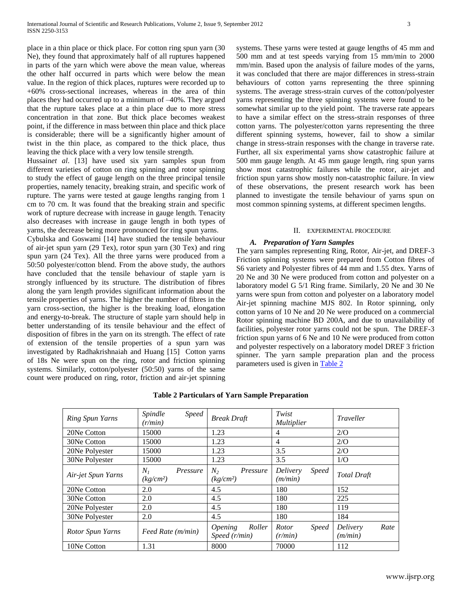place in a thin place or thick place. For cotton ring spun yarn (30 Ne), they found that approximately half of all ruptures happened in parts of the yarn which were above the mean value, whereas the other half occurred in parts which were below the mean value. In the region of thick places, ruptures were recorded up to +60% cross-sectional increases, whereas in the area of thin places they had occurred up to a minimum of –40%. They argued that the rupture takes place at a thin place due to more stress concentration in that zone. But thick place becomes weakest point, if the difference in mass between thin place and thick place is considerable; there will be a significantly higher amount of twist in the thin place, as compared to the thick place, thus leaving the thick place with a very low tensile strength.

Hussain*et al*. [13] have used six yarn samples spun from different varieties of cotton on ring spinning and rotor spinning to study the effect of gauge length on the three principal tensile properties, namely tenacity, breaking strain, and specific work of rupture. The yarns were tested at gauge lengths ranging from 1 cm to 70 cm. It was found that the breaking strain and specific work of rupture decrease with increase in gauge length. Tenacity also decreases with increase in gauge length in both types of yarns, the decrease being more pronounced for ring spun yarns.

Cybulska and Goswami [14] have studied the tensile behaviour of air-jet spun yarn (29 Tex), rotor spun yarn (30 Tex) and ring spun yarn (24 Tex). All the three yarns were produced from a 50:50 polyester/cotton blend. From the above study, the authors have concluded that the tensile behaviour of staple yarn is strongly influenced by its structure. The distribution of fibres along the yarn length provides significant information about the tensile properties of yarns. The higher the number of fibres in the yarn cross-section, the higher is the breaking load, elongation and energy-to-break. The structure of staple yarn should help in better understanding of its tensile behaviour and the effect of disposition of fibres in the yarn on its strength. The effect of rate of extension of the tensile properties of a spun yarn was investigated by Radhakrishnaiah and Huang [15] Cotton yarns of 18s Ne were spun on the ring, rotor and friction spinning systems. Similarly, cotton/polyester (50:50) yarns of the same count were produced on ring, rotor, friction and air-jet spinning systems. These yarns were tested at gauge lengths of 45 mm and 500 mm and at test speeds varying from 15 mm/min to 2000 mm/min. Based upon the analysis of failure modes of the yarns, it was concluded that there are major differences in stress-strain behaviours of cotton yarns representing the three spinning systems. The average stress-strain curves of the cotton/polyester yarns representing the three spinning systems were found to be somewhat similar up to the yield point. The traverse rate appears to have a similar effect on the stress-strain responses of three cotton yarns. The polyester/cotton yarns representing the three different spinning systems, however, fail to show a similar change in stress-strain responses with the change in traverse rate. Further, all six experimental yarns show catastrophic failure at 500 mm gauge length. At 45 mm gauge length, ring spun yarns show most catastrophic failures while the rotor, air-jet and friction spun yarns show mostly non-catastrophic failure. In view of these observations, the present research work has been planned to investigate the tensile behaviour of yarns spun on most common spinning systems, at different specimen lengths.

## II. EXPERIMENTAL PROCEDURE

## *A. Preparation of Yarn Samples*

The yarn samples representing Ring, Rotor, Air-jet, and DREF-3 Friction spinning systems were prepared from Cotton fibres of S6 variety and Polyester fibres of 44 mm and 1.55 dtex. Yarns of 20 Ne and 30 Ne were produced from cotton and polyester on a laboratory model G 5/1 Ring frame. Similarly, 20 Ne and 30 Ne yarns were spun from cotton and polyester on a laboratory model Air-jet spinning machine MJS 802. In Rotor spinning, only cotton yarns of 10 Ne and 20 Ne were produced on a commercial Rotor spinning machine BD 200A, and due to unavailability of facilities, polyester rotor yarns could not be spun. The DREF-3 friction spun yarns of 6 Ne and 10 Ne were produced from cotton and polyester respectively on a laboratory model DREF 3 friction spinner. The yarn sample preparation plan and the process parameters used is given in **Table 2** 

| Ring Spun Yarns    | <b>Speed</b><br>Spindle<br>(r/min)         | <b>Break Draft</b>                                  | Twist<br>Multiplier                 | Traveller                   |
|--------------------|--------------------------------------------|-----------------------------------------------------|-------------------------------------|-----------------------------|
| 20Ne Cotton        | 15000                                      | 1.23                                                | 4                                   | 2/O                         |
| 30Ne Cotton        | 15000                                      | 1.23                                                | 4                                   | 2/O                         |
| 20Ne Polyester     | 15000                                      | 1.23                                                | 3.5                                 | 2/O                         |
| 30Ne Polyester     | 15000                                      | 1.23                                                | 3.5                                 | 1/O                         |
| Air-jet Spun Yarns | $N_I$<br>Pressure<br>(kg/cm <sup>2</sup> ) | N <sub>2</sub><br>Pressure<br>(kg/cm <sup>2</sup> ) | Delivery<br><i>Speed</i><br>(m/min) | <b>Total Draft</b>          |
| 20Ne Cotton        | 2.0                                        | 4.5                                                 | 180                                 | 152                         |
| 30Ne Cotton        | 2.0                                        | 4.5                                                 | 180                                 | 225                         |
| 20Ne Polyester     | 2.0                                        | 4.5                                                 | 180                                 | 119                         |
| 30Ne Polyester     | 2.0                                        | 4.5                                                 | 180                                 | 184                         |
| Rotor Spun Yarns   | Feed Rate (m/min)                          | Roller<br><i><b>Opening</b></i><br>Speed $(r/min)$  | <i>Speed</i><br>Rotor<br>(r/min)    | Delivery<br>Rate<br>(m/min) |
| 10Ne Cotton        | 1.31                                       | 8000                                                | 70000                               | 112                         |

## **Table 2 Particulars of Yarn Sample Preparation**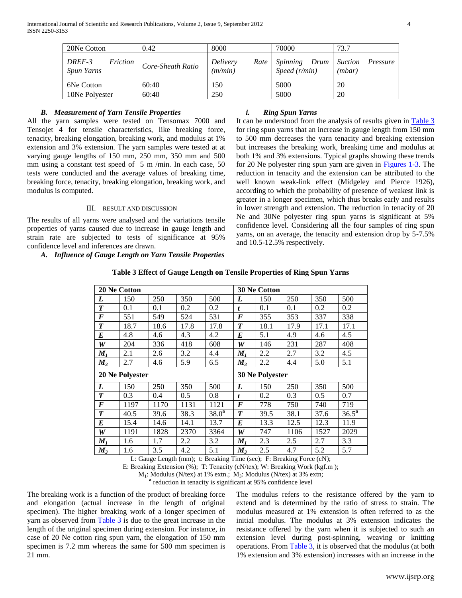| 20Ne Cotton                      | 0.42              | 8000                        | 70000                            | 73.7                                 |
|----------------------------------|-------------------|-----------------------------|----------------------------------|--------------------------------------|
| DREF-3<br>Friction<br>Spun Yarns | Core-Sheath Ratio | Delivery<br>Rate<br>(m/min) | Spinning<br>Drum<br>Speed(r/min) | <i>Suction</i><br>Pressure<br>(mbar) |
| 6Ne Cotton                       | 60:40             | 150                         | 5000                             | 20                                   |
| 10Ne Polyester                   | 60:40             | 250                         | 5000                             | 20                                   |

## *B. Measurement of Yarn Tensile Properties*

All the yarn samples were tested on Tensomax 7000 and Tensojet 4 for tensile characteristics, like breaking force, tenacity, breaking elongation, breaking work, and modulus at 1% extension and 3% extension. The yarn samples were tested at at varying gauge lengths of 150 mm, 250 mm, 350 mm and 500 mm using a constant test speed of 5 m /min. In each case, 50 tests were conducted and the average values of breaking time, breaking force, tenacity, breaking elongation, breaking work, and modulus is computed.

## III. RESULT AND DISCUSSION

The results of all yarns were analysed and the variations tensile properties of yarns caused due to increase in gauge length and strain rate are subjected to tests of significance at 95% confidence level and inferences are drawn.

#### *A. Influence of Gauge Length on Yarn Tensile Properties*

## *i. Ring Spun Yarns*

It can be understood from the analysis of results given in [Table 3](file:///L:\Papers\The%20Journal%20of%20Industrial%20Textiles\Tables.doc) for ring spun yarns that an increase in gauge length from 150 mm to 500 mm decreases the yarn tenacity and breaking extension but increases the breaking work, breaking time and modulus at both 1% and 3% extensions. Typical graphs showing these trends for 20 Ne polyester ring spun yarn are given in [Figures 1-3.](file:///L:\Papers\The%20Journal%20of%20Industrial%20Textiles\Figures.doc) The reduction in tenacity and the extension can be attributed to the well known weak-link effect (Midgeley and Pierce 1926), according to which the probability of presence of weakest link is greater in a longer specimen, which thus breaks early and results in lower strength and extension. The reduction in tenacity of 20 Ne and 30Ne polyester ring spun yarns is significant at 5% confidence level. Considering all the four samples of ring spun yarns, on an average, the tenacity and extension drop by 5-7.5% and 10.5-12.5% respectively.

|                  | <b>20 Ne Cotton</b> |      |      |                        |                  | <b>30 Ne Cotton</b> |      |      |                   |
|------------------|---------------------|------|------|------------------------|------------------|---------------------|------|------|-------------------|
| L                | 150                 | 250  | 350  | 500                    | L                | 150                 | 250  | 350  | 500               |
| $\boldsymbol{T}$ | 0.1                 | 0.1  | 0.2  | 0.2                    | t                | 0.1                 | 0.1  | 0.2  | 0.2               |
| F                | 551                 | 549  | 524  | 531                    | $\bm{F}$         | 355                 | 353  | 337  | 338               |
| T                | 18.7                | 18.6 | 17.8 | 17.8                   | $\boldsymbol{T}$ | 18.1                | 17.9 | 17.1 | 17.1              |
| E                | 4.8                 | 4.6  | 4.3  | 4.2                    | E                | 5.1                 | 4.9  | 4.6  | 4.5               |
| W                | 204                 | 336  | 418  | 608                    | W                | 146                 | 231  | 287  | 408               |
| $M_I$            | 2.1                 | 2.6  | 3.2  | 4.4                    | $M_I$            | 2.2                 | 2.7  | 3.2  | 4.5               |
| $M_3$            | 2.7                 | 4.6  | 5.9  | 6.5                    | $M_3$            | 2.2                 | 4.4  | 5.0  | 5.1               |
| 20 Ne Polyester  |                     |      |      | <b>30 Ne Polyester</b> |                  |                     |      |      |                   |
|                  |                     |      |      |                        |                  |                     |      |      |                   |
| L                | 150                 | 250  | 350  | 500                    | L                | 150                 | 250  | 350  | 500               |
| $\boldsymbol{T}$ | 0.3                 | 0.4  | 0.5  | 0.8                    | t                | 0.2                 | 0.3  | 0.5  | 0.7               |
| F                | 1197                | 1170 | 1131 | 1121                   | $\bm{F}$         | 778                 | 750  | 740  | 719               |
| T                | 40.5                | 39.6 | 38.3 | 38.0 <sup>a</sup>      | T                | 39.5                | 38.1 | 37.6 | 36.5 <sup>a</sup> |
| E                | 15.4                | 14.6 | 14.1 | 13.7                   | E                | 13.3                | 12.5 | 12.3 | 11.9              |
| W                | 1191                | 1828 | 2370 | 3364                   | W                | 747                 | 1106 | 1527 | 2029              |
| $M_I$            | 1.6                 | 1.7  | 2.2  | 3.2                    | $M_I$            | 2.3                 | 2.5  | 2.7  | 3.3               |

## **Table 3 Effect of Gauge Length on Tensile Properties of Ring Spun Yarns**

L: Gauge Length (mm); t: Breaking Time (sec); F: Breaking Force (cN);

E: Breaking Extension (%); T: Tenacity (cN/tex); W: Breaking Work (kgf.m );

 $M_1$ : Modulus (N/tex) at 1% extn.;  $M_3$ : Modulus (N/tex) at 3% extn;

<sup>a</sup> reduction in tenacity is significant at 95% confidence level

The breaking work is a function of the product of breaking force and elongation (actual increase in the length of original specimen). The higher breaking work of a longer specimen of yarn as observed from [Table 3](file:///L:\Papers\The%20Journal%20of%20Industrial%20Textiles\Tables.doc) is due to the great increase in the length of the original specimen during extension. For instance, in case of 20 Ne cotton ring spun yarn, the elongation of 150 mm specimen is 7.2 mm whereas the same for 500 mm specimen is 21 mm.

The modulus refers to the resistance offered by the yarn to extend and is determined by the ratio of stress to strain. The modulus measured at 1% extension is often referred to as the initial modulus. The modulus at 3% extension indicates the resistance offered by the yarn when it is subjected to such an extension level during post-spinning, weaving or knitting operations. From [Table 3,](file:///L:\Papers\The%20Journal%20of%20Industrial%20Textiles\Tables.doc) it is observed that the modulus (at both 1% extension and 3% extension) increases with an increase in the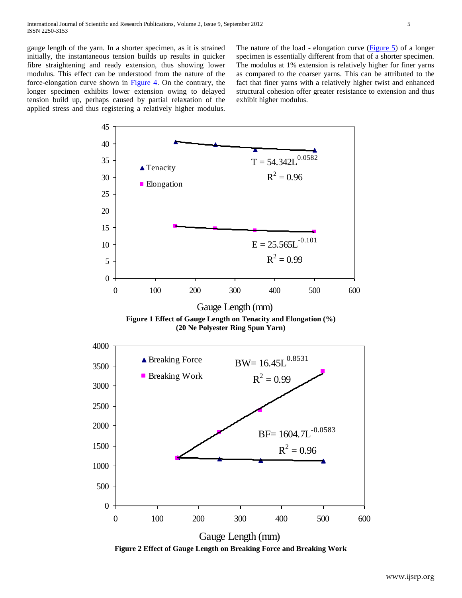gauge length of the yarn. In a shorter specimen, as it is strained initially, the instantaneous tension builds up results in quicker fibre straightening and ready extension, thus showing lower modulus. This effect can be understood from the nature of the force-elongation curve shown in [Figure 4.](file:///L:\Papers\The%20Journal%20of%20Industrial%20Textiles\Figures.doc) On the contrary, the longer specimen exhibits lower extension owing to delayed tension build up, perhaps caused by partial relaxation of the applied stress and thus registering a relatively higher modulus.

The nature of the load - elongation curve [\(Figure 5\)](file:///L:\Papers\The%20Journal%20of%20Industrial%20Textiles\Figures.doc) of a longer specimen is essentially different from that of a shorter specimen. The modulus at 1% extension is relatively higher for finer yarns as compared to the coarser yarns. This can be attributed to the fact that finer yarns with a relatively higher twist and enhanced structural cohesion offer greater resistance to extension and thus exhibit higher modulus.



**Figure 2 Effect of Gauge Length on Breaking Force and Breaking Work**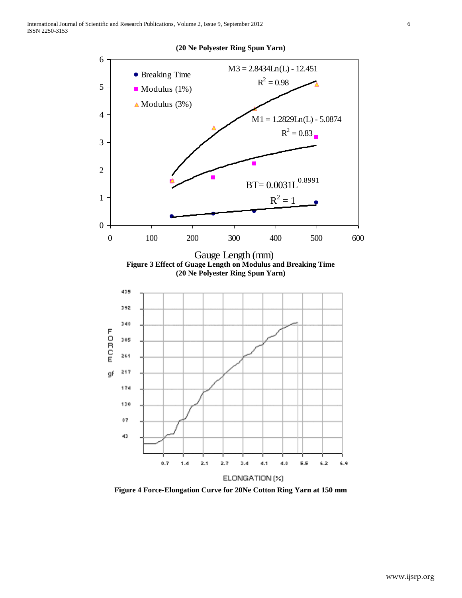

**(20 Ne Polyester Ring Spun Yarn)**

**Figure 4 Force-Elongation Curve for 20Ne Cotton Ring Yarn at 150 mm**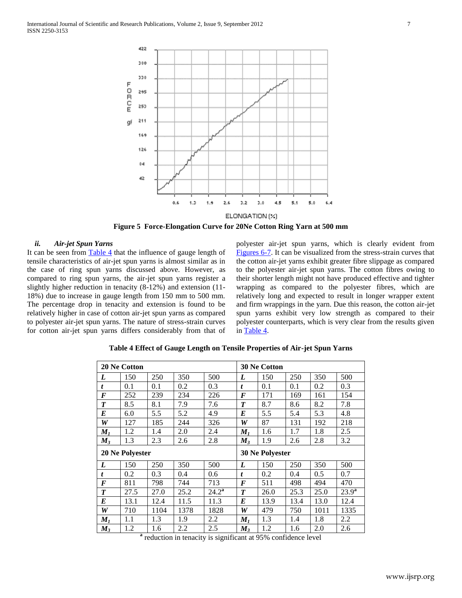

**Figure 5 Force-Elongation Curve for 20Ne Cotton Ring Yarn at 500 mm**

## *ii. Air-jet Spun Yarns*

It can be seen from  $Table 4$  that the influence of gauge length of tensile characteristics of air-jet spun yarns is almost similar as in the case of ring spun yarns discussed above. However, as compared to ring spun yarns, the air-jet spun yarns register a slightly higher reduction in tenacity (8-12%) and extension (11- 18%) due to increase in gauge length from 150 mm to 500 mm. The percentage drop in tenacity and extension is found to be relatively higher in case of cotton air-jet spun yarns as compared to polyester air-jet spun yarns. The nature of stress-strain curves for cotton air-jet spun yarns differs considerably from that of polyester air-jet spun yarns, which is clearly evident from [Figures 6-7.](file:///L:\Papers\The%20Journal%20of%20Industrial%20Textiles\Figures.doc) It can be visualized from the stress-strain curves that the cotton air-jet yarns exhibit greater fibre slippage as compared to the polyester air-jet spun yarns. The cotton fibres owing to their shorter length might not have produced effective and tighter wrapping as compared to the polyester fibres, which are relatively long and expected to result in longer wrapper extent and firm wrappings in the yarn. Due this reason, the cotton air-jet spun yarns exhibit very low strength as compared to their polyester counterparts, which is very clear from the results given in [Table 4.](file:///L:\Papers\The%20Journal%20of%20Industrial%20Textiles\Tables.doc)

| 20 Ne Cotton     |      |      |      |                |                | <b>30 Ne Cotton</b> |      |      |                |
|------------------|------|------|------|----------------|----------------|---------------------|------|------|----------------|
| L                | 150  | 250  | 350  | 500            | L              | 150                 | 250  | 350  | 500            |
| t                | 0.1  | 0.1  | 0.2  | 0.3            | t              | 0.1                 | 0.1  | 0.2  | 0.3            |
| F                | 252  | 239  | 234  | 226            | F              | 171                 | 169  | 161  | 154            |
| $\boldsymbol{T}$ | 8.5  | 8.1  | 7.9  | 7.6            | T              | 8.7                 | 8.6  | 8.2  | 7.8            |
| $\bm E$          | 6.0  | 5.5  | 5.2  | 4.9            | E              | 5.5                 | 5.4  | 5.3  | 4.8            |
| W                | 127  | 185  | 244  | 326            | W              | 87                  | 131  | 192  | 218            |
| $M_I$            | 1.2  | 1.4  | 2.0  | 2.4            | M <sub>1</sub> | 1.6                 | 1.7  | 1.8  | 2.5            |
| $M_3$            | 1.3  | 2.3  | 2.6  | 2.8            | $M_3$          | 1.9                 | 2.6  | 2.8  | 3.2            |
| 20 Ne Polyester  |      |      |      |                |                |                     |      |      |                |
|                  |      |      |      |                |                | 30 Ne Polyester     |      |      |                |
| L                | 150  | 250  | 350  | 500            | L              | 150                 | 250  | 350  | 500            |
| t                | 0.2  | 0.3  | 0.4  | 0.6            | t              | 0.2                 | 0.4  | 0.5  | 0.7            |
| F                | 811  | 798  | 744  | 713            | F              | 511                 | 498  | 494  | 470            |
| $\boldsymbol{T}$ | 27.5 | 27.0 | 25.2 | $24.2^{\rm a}$ | T              | 26.0                | 25.3 | 25.0 | $23.9^{\rm a}$ |
| $\bm E$          | 13.1 | 12.4 | 11.5 | 11.3           | E              | 13.9                | 13.4 | 13.0 | 12.4           |
| W                | 710  | 1104 | 1378 | 1828           | W              | 479                 | 750  | 1011 | 1335           |
| $M_{I}$          | 1.1  | 1.3  | 1.9  | 2.2            | $M_{I}$        | 1.3                 | 1.4  | 1.8  | 2.2            |

**Table 4 Effect of Gauge Length on Tensile Properties of Air-jet Spun Yarns**

<sup>a</sup> reduction in tenacity is significant at 95% confidence level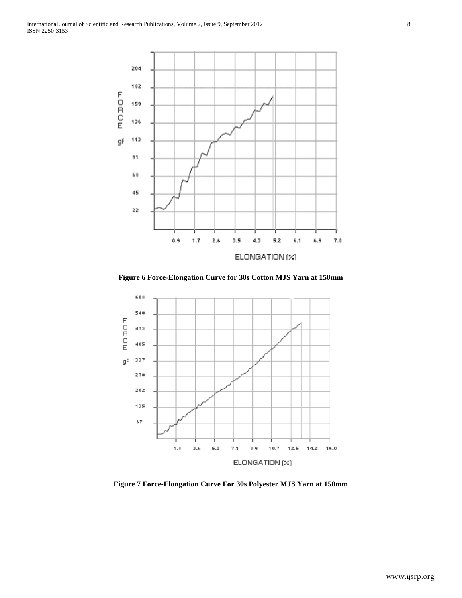

**Figure 6 Force-Elongation Curve for 30s Cotton MJS Yarn at 150mm**



**Figure 7 Force-Elongation Curve For 30s Polyester MJS Yarn at 150mm**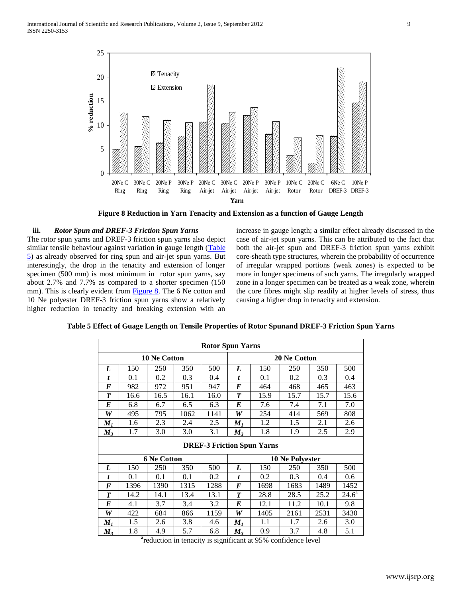

**Figure 8 Reduction in Yarn Tenacity and Extension as a function of Gauge Length**

## **iii.** *Rotor Spun and DREF-3 Friction Spun Yarns*

The rotor spun yarns and DREF-3 friction spun yarns also depict similar tensile behaviour against variation in gauge length (Table [5\)](file:///L:\Papers\The%20Journal%20of%20Industrial%20Textiles\Tables.doc) as already observed for ring spun and air-jet spun yarns. But interestingly, the drop in the tenacity and extension of longer specimen (500 mm) is most minimum in rotor spun yarns, say about 2.7% and 7.7% as compared to a shorter specimen (150 mm). This is clearly evident from [Figure 8.](file:///L:\Papers\The%20Journal%20of%20Industrial%20Textiles\Figures.doc) The 6 Ne cotton and 10 Ne polyester DREF-3 friction spun yarns show a relatively higher reduction in tenacity and breaking extension with an

increase in gauge length; a similar effect already discussed in the case of air-jet spun yarns. This can be attributed to the fact that both the air-jet spun and DREF-3 friction spun yarns exhibit core-sheath type structures, wherein the probability of occurrence of irregular wrapped portions (weak zones) is expected to be more in longer specimens of such yarns. The irregularly wrapped zone in a longer specimen can be treated as a weak zone, wherein the core fibres might slip readily at higher levels of stress, thus causing a higher drop in tenacity and extension.

|                     | <b>Rotor Spun Yarns</b> |                    |      |      |                     |                                   |                 |      |                |
|---------------------|-------------------------|--------------------|------|------|---------------------|-----------------------------------|-----------------|------|----------------|
| <b>10 Ne Cotton</b> |                         |                    |      |      | <b>20 Ne Cotton</b> |                                   |                 |      |                |
| L                   | 150                     | 250                | 350  | 500  | L                   | 150                               | 250             | 350  | 500            |
| t                   | 0.1                     | 0.2                | 0.3  | 0.4  | t                   | 0.1                               | 0.2             | 0.3  | 0.4            |
| F                   | 982                     | 972                | 951  | 947  | F                   | 464                               | 468             | 465  | 463            |
| T                   | 16.6                    | 16.5               | 16.1 | 16.0 | T                   | 15.9                              | 15.7            | 15.7 | 15.6           |
| E                   | 6.8                     | 6.7                | 6.5  | 6.3  | E                   | 7.6                               | 7.4             | 7.1  | 7.0            |
| W                   | 495                     | 795                | 1062 | 1141 | W                   | 254                               | 414             | 569  | 808            |
| $M_I$               | 1.6                     | 2.3                | 2.4  | 2.5  | $M_I$               | 1.2                               | 1.5             | 2.1  | 2.6            |
| $M_3$               | 1.7                     | 3.0                | 3.0  | 3.1  | $M_3$               | 1.8                               | 1.9             | 2.5  | 2.9            |
|                     |                         |                    |      |      |                     | <b>DREF-3 Friction Spun Yarns</b> |                 |      |                |
|                     |                         | <b>6 Ne Cotton</b> |      |      |                     |                                   | 10 Ne Polyester |      |                |
| L                   | 150                     | 250                | 350  | 500  | L                   | 150                               | 250             | 350  | 500            |
| t                   |                         |                    |      |      |                     |                                   |                 |      |                |
|                     | 0.1                     | 0.1                | 0.1  | 0.2  | t                   | 0.2                               | 0.3             | 0.4  | 0.6            |
| F                   | 1396                    | 1390               | 1315 | 1288 | $\bm{F}$            | 1698                              | 1683            | 1489 | 1452           |
| $\boldsymbol{T}$    | 14.2                    | 14.1               | 13.4 | 13.1 | T                   | 28.8                              | 28.5            | 25.2 | $24.6^{\circ}$ |
| E                   | 4.1                     | 3.7                | 3.4  | 3.2  | E                   | 12.1                              | 11.2            | 10.1 | 9.8            |
| W                   | 422                     | 684                | 866  | 1159 | W                   | 1405                              | 2161            | 2531 | 3430           |
| $M_I$               | 1.5                     | 2.6                | 3.8  | 4.6  | $M_I$               | 1.1                               | 1.7             | 2.6  | 3.0            |

**Table 5 Effect of Guage Length on Tensile Properties of Rotor Spunand DREF-3 Friction Spun Yarns**

**a** reduction in tenacity is significant at 95% confidence level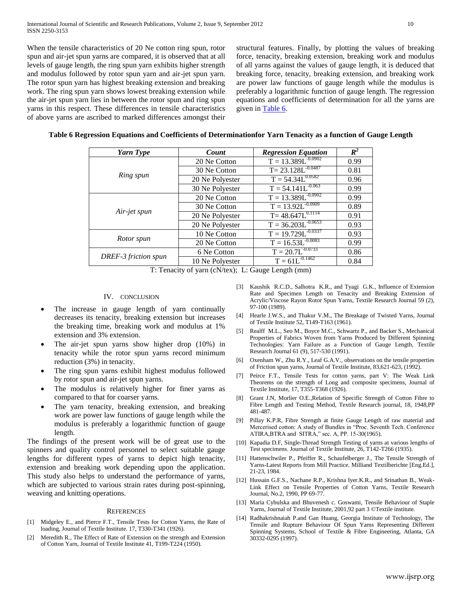When the tensile characteristics of 20 Ne cotton ring spun, rotor spun and air-jet spun yarns are compared, it is observed that at all levels of gauge length, the ring spun yarn exhibits higher strength and modulus followed by rotor spun yarn and air-jet spun yarn. The rotor spun yarn has highest breaking extension and breaking work. The ring spun yarn shows lowest breaking extension while the air-jet spun yarn lies in between the rotor spun and ring spun yarns in this respect. These differences in tensile characteristics of above yarns are ascribed to marked differences amongst their

structural features. Finally, by plotting the values of breaking force, tenacity, breaking extension, breaking work and modulus of all yarns against the values of gauge length, it is deduced that breaking force, tenacity, breaking extension, and breaking work are power law functions of gauge length while the modulus is preferably a logarithmic function of gauge length. The regression equations and coefficients of determination for all the yarns are given in [Table 6.](file:///L:\Papers\The%20Journal%20of%20Industrial%20Textiles\Tables.doc)

|  | Table 6 Regression Equations and Coefficients of Determinationfor Yarn Tenacity as a function of Gauge Length |  |  |
|--|---------------------------------------------------------------------------------------------------------------|--|--|
|  |                                                                                                               |  |  |

| Yarn Type            | Count           | <b>Regression Equation</b> | $R^2$ |
|----------------------|-----------------|----------------------------|-------|
|                      | 20 Ne Cotton    | $T = 13.389L^{0.0902}$     | 0.99  |
|                      | 30 Ne Cotton    | $T = 23.128L^{-0.0487}$    | 0.81  |
| Ring spun            | 20 Ne Polyester | $T = 54.34L^{0.0582}$      | 0.96  |
|                      | 30 Ne Polyester | $T = 54.141L^{-0.063}$     | 0.99  |
|                      | 20 Ne Cotton    | $T = 13.389L^{-0.0902}$    | 0.99  |
|                      | 30 Ne Cotton    | $T = 13.92L^{-0.0909}$     | 0.89  |
| Air-jet spun         | 20 Ne Polyester | $T = 48.647L^{0.1114}$     | 0.91  |
|                      | 20 Ne Polyester | $T = 36.203L^{-0.0653}$    | 0.93  |
|                      | 10 Ne Cotton    | $T = 19.729L^{-0.0337}$    | 0.93  |
| Rotor spun           | 20 Ne Cotton    | $T = 16.53L^{-0.0083}$     | 0.99  |
|                      | 6 Ne Cotton     | $T = 20.7L^{-0.0733}$      | 0.86  |
| DREF-3 friction spun | 10 Ne Polyester | $T = 61L^{-0.1462}$        | 0.84  |

T: Tenacity of yarn (cN/tex); L: Gauge Length (mm)

## IV. CONCLUSION

- The increase in gauge length of yarn continually decreases its tenacity, breaking extension but increases the breaking time, breaking work and modulus at 1% extension and 3% extension.
- The air-jet spun yarns show higher drop (10%) in tenacity while the rotor spun yarns record minimum reduction (3%) in tenacity.
- The ring spun yarns exhibit highest modulus followed by rotor spun and air-jet spun yarns.
- The modulus is relatively higher for finer yarns as compared to that for coarser yarns.
- The yarn tenacity, breaking extension, and breaking work are power law functions of gauge length while the modulus is preferably a logarithmic function of gauge length.

The findings of the present work will be of great use to the spinners and quality control personnel to select suitable gauge lengths for different types of yarns to depict high tenacity, extension and breaking work depending upon the application. This study also helps to understand the performance of yarns, which are subjected to various strain rates during post-spinning, weaving and knitting operations.

## **REFERENCES**

- [1] Midgeley E., and Pierce F.T., Tensile Tests for Cotton Yarns, the Rate of loading, Journal of Textile Institute. 17, T330-T341 (1926).
- [2] Meredith R., The Effect of Rate of Extension on the strength and Extension of Cotton Yarn, Journal of Textile Institute 41, T199-T224 (1950).
- [3] Kaushik R.C.D., Salhotra K.R., and Tyagi G.K., Influence of Extension Rate and Specimen Length on Tenacity and Breaking Extension of Acrylic/Viscose Rayon Rotor Spun Yarns, Textile Research Journal 59 (2), 97-100 (1989).
- [4] Hearle J.W.S., and Thakur V.M., The Breakage of Twisted Yarns, Journal of Textile Institute 52, T149-T163 (1961).
- [5] Realff M.L., Seo M., Boyce M.C., Schwartz P., and Backer S., Mechanical Properties of Fabrics Woven from Yarns Produced by Different Spinning Technologies: Yarn Failure as a Function of Gauge Length, Textile Research Journal 61 (9), 517-530 (1991).
- [6] Oxenham W., Zhu R.Y., Leaf G.A.V., observations on the tensile properties of Friction spun yarns, Journal of Textile Institute, 83,621-623, (1992).
- [7] Peirce F.T., Tensile Tests for cotton yarns, part V: The Weak Link Theorems on the strength of Long and composite specimens, Journal of Textile Institute, 17, T355-T368 (1926).
- [8] Grant J.N, Morlier O.E.,Relation of Specific Strength of Cotton Fibre to Fibre Length and Testing Method, Textile Research journal, 18, 1948,PP 481-487.
- [9] Pillay K.P.R, Fibre Strength at finite Gauge Length of raw material and Mercerised cotton: A study of Bundles in "Proc. Seventh Tech. Conference ATIRA,BTRA and SITRA," sec. A, PP. 15-30(1965).
- [10] Kapadia D.F, Single-Thread Strength Testing of yarns at various lengths of Test specimens. Journal of Textile Institute, 26, T142-T266 (1935).
- [11] Hattenschwiler P., Pfeiffer R., Schaufelberger J., The Tensile Strength of Yarns-Latest Reports from Mill Practice. Milliand Textilberichte [Eng.Ed.], 21-23, 1984.
- [12] Hussain G.F.S., Nachane R.P., Krishna Iyer.K.R., and Srinathan B., Weak-Link Effect on Tensile Properties of Cotton Yarns, Textile Research Journal, No.2, 1990, PP 69-77.
- [13] Maria Cybulska and Bhuvenesh c. Goswami, Tensile Behaviour of Staple Yarns, Journal of Textile Institute, 2001,92 part 3 ©Textile institute.
- [14] Radhakrishnaiah P.and Gan Huang, Georgia Institute of Technology, The Tensile and Rupture Behaviour Of Spun Yarns Representing Different Spinning Systems, School of Textile & Fibre Engineering, Atlanta, GA 30332-0295 (1997).